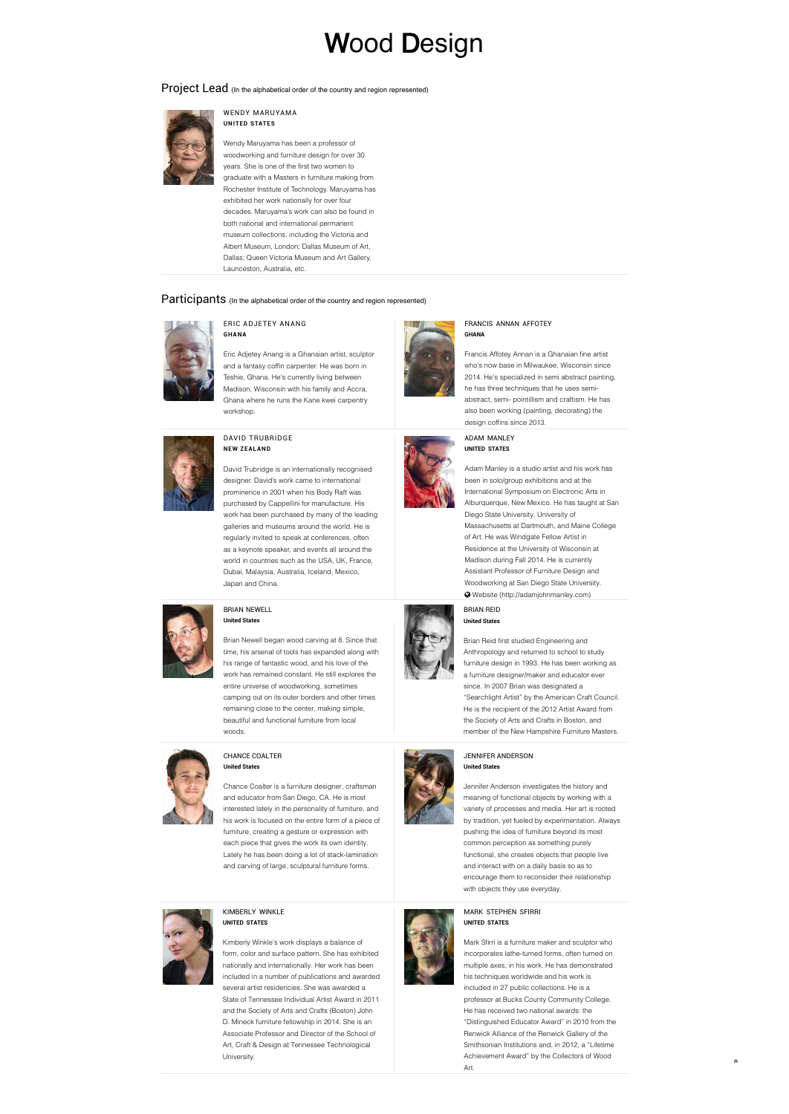# Wood Design

Project Lead (In the alphabetical order of the country and region represented)



#### WENDY MARUYAMA **UNITED STATES**

Wendy Maruyama has been a professor of woodworking and furniture design for over 30 years. She is one of the first two women to graduate with a Masters in furniture making from Rochester Institute of Technology. Maruyama has exhibited her work nationally for over four decades. Maruyama's work can also be found in both national and international permanent museum collections, including the Victoria and Albert Museum, London; Dallas Museum of Art, Dallas; Queen Victoria Museum and Art Gallery, Launceston, Australia, etc.

# Participants (In the alphabetical order of the country and region represented)



#### ERIC ADJETEY ANANG **GH AN A**

Eric Adjetey Anang is a Ghanaian artist, sculptor and a fantasy coffin carpenter. He was born in Teshie, Ghana. He's currently living between Madison, Wisconsin with his family and Accra, Ghana where he runs the Kane kwei carpentry workshop.



## DAVID TRUBRIDGE **NEW ZEAL AND**

David Trubridge is an internationally recognised designer. David's work came to international prominence in 2001 when his Body Raft was purchased by Cappellini for manufacture. His work has been purchased by many of the leading galleries and museums around the world. He is regularly invited to speak at conferences, often as a keynote speaker, and events all around the world in countries such as the USA, UK, France, Dubai, Malaysia, Australia, Iceland, Mexico, Japan and China.



# BRIAN NEWELL **United States**

Brian Newell began wood carving at 8. Since that time, his arsenal of tools has expanded along with his range of fantastic wood, and his love of the work has remained constant. He still explores the entire universe of woodworking, sometimes camping out on its outer borders and other times remaining close to the center, making simple, beautiful and functional furniture from local woods.



#### CHANCE COALTER **United States**

Chance Coalter is a furniture designer, craftsman and educator from San Diego, CA. He is most interested lately in the personality of furniture, and his work is focused on the entire form of a piece of furniture, creating a gesture or expression with each piece that gives the work its own identity. Lately he has been doing a lot of stack-lamination and carving of large, sculptural furniture forms.



# KIMBERLY WINKLE **UNITED STATES**

Kimberly Winkle's work displays a balance of form, color and surface pattern. She has exhibited nationally and internationally. Her work has been included in a number of publications and awarded several artist residencies. She was awarded a State of Tennessee Individual Artist Award in 2011 and the Society of Arts and Crafts (Boston) John D. Mineck furniture fellowship in 2014. She is an Associate Professor and Director of the School of Art, Craft & Design at Tennessee Technological University.



#### FRANCIS ANNAN AFFOTEY **GHANA**

Francis Affotey Annan is a Ghanaian fine artist who's now base in Milwaukee, Wisconsin since 2014. He's specialized in semi abstract painting, he has three techniques that he uses semiabstract, semi- pointillism and craftism. He has also been working (painting, decorating) the design coffins since 2013.

ADAM MANLEY **UNITED STATES**



Adam Manley is a studio artist and his work has been in solo/group exhibitions and at the International Symposium on Electronic Arts in Alburquerque, New Mexico. He has taught at San Diego State University, University of Massachusetts at Dartmouth, and Maine College of Art. He was Windgate Fellow Artist in Residence at the University of Wisconsin at Madison during Fall 2014. He is currently Assistant Professor of Furniture Design and Woodworking at San Diego State University.  [Website \(http://adamjohnmanley.com\)](http://adamjohnmanley.com) 

BRIAN REID **United States**

Brian Reid first studied Engineering and Anthropology and returned to school to study furniture design in 1993. He has been working as a furniture designer/maker and educator ever since. In 2007 Brian was designated a "Searchlight Artist" by the American Craft Council. He is the recipient of the 2012 Artist Award from the Society of Arts and Crafts in Boston, and member of the New Hampshire Furniture Masters.



#### JENNIFER ANDERSON **United States**

Jennifer Anderson investigates the history and meaning of functional objects by working with a variety of processes and media. Her art is rooted by tradition, yet fueled by experimentation. Always pushing the idea of furniture beyond its most common perception as something purely functional, she creates objects that people live and interact with on a daily basis so as to encourage them to reconsider their relationship with objects they use everyday.



Mark Sfirri is a furniture maker and sculptor who incorporates lathe-turned forms, often turned on multiple axes, in his work. He has demonstrated his techniques worldwide and his work is included in 27 public collections. He is a professor at Bucks County Community College. He has received two national awards: the "Distinguished Educator Award" in 2010 from the Renwick Alliance of the Renwick Gallery of the Smithsonian Institutions and, in 2012, a "Lifetime Achievement Award" by the Collectors of Wood Art.

∧



MARK STEPHEN SFIRRI